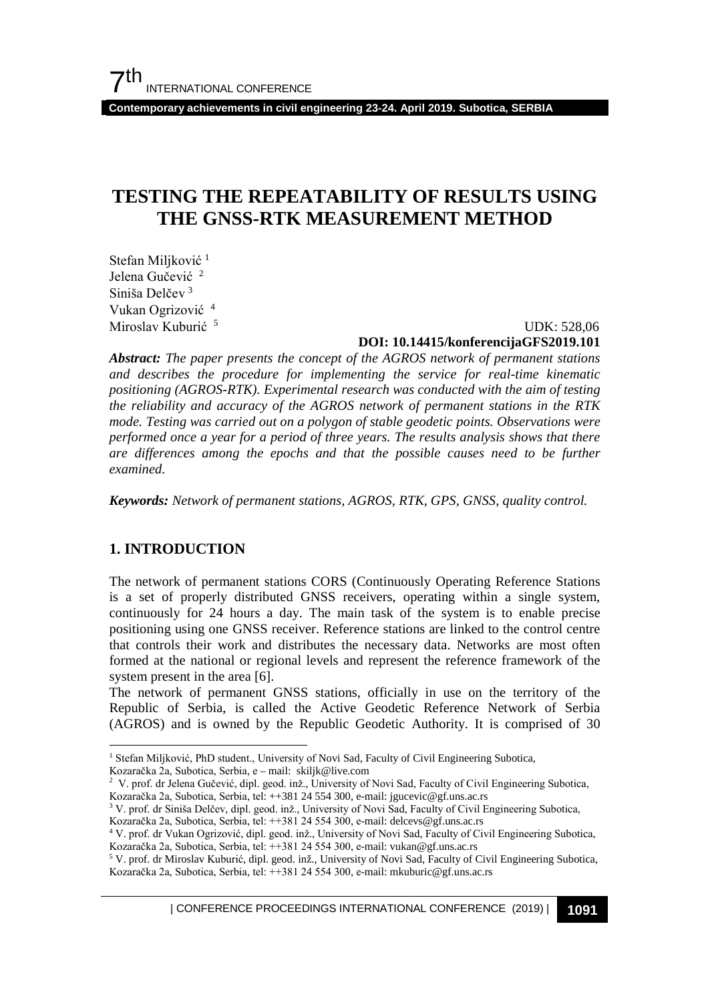**Contemporary achievements in civil engineering 23-24. April 2019. Subotica, SERBIA**

# **TESTING THE REPEATABILITY OF RESULTS USING THE GNSS-RTK MEASUREMENT METHOD**

Stefan Miljković<sup>[1](#page-0-0)</sup> Jelena Gučević<sup>[2](#page-0-1)</sup> Siniša Delčev [3](#page-0-2) Vukan Ogrizović [4](#page-0-3) Miroslav Kuburić<sup>[5](#page-0-4)</sup>

#### UDK: 528,06 **DOI: 10.14415/konferencijaGFS2019.101**

*Abstract: The paper presents the concept of the AGROS network of permanent stations and describes the procedure for implementing the service for real-time kinematic positioning (AGROS-RTK). Experimental research was conducted with the aim of testing the reliability and accuracy of the AGROS network of permanent stations in the RTK mode. Testing was carried out on a polygon of stable geodetic points. Observations were performed once a year for a period of three years. The results analysis shows that there are differences among the epochs and that the possible causes need to be further examined.* 

*Keywords: Network of permanent stations, AGROS, RTK, GPS, GNSS, quality control.*

## **1. INTRODUCTION**

The network of permanent stations CORS (Continuously Operating Reference Stations is a set of properly distributed GNSS receivers, operating within a single system, continuously for 24 hours a day. The main task of the system is to enable precise positioning using one GNSS receiver. Reference stations are linked to the control centre that controls their work and distributes the necessary data. Networks are most often formed at the national or regional levels and represent the reference framework of the system present in the area [6].

The network of permanent GNSS stations, officially in use on the territory of the Republic of Serbia, is called the Active Geodetic Reference Network of Serbia (AGROS) and is owned by the Republic Geodetic Authority. It is comprised of 30

<span id="page-0-1"></span>2 V. prof. dr Jelena Gučević, dipl. geod. inž., University of Novi Sad, Faculty of Civil Engineering Subotica, Kozaračka 2a, Subotica, Serbia, tel: ++381 24 554 300, e-mail: jgucevic@gf.uns.ac.rs

<span id="page-0-2"></span><sup>3</sup> V. prof. dr Siniša Delčev, dipl. geod. inž., University of Novi Sad, Faculty of Civil Engineering Subotica,

Kozaračka 2a, Subotica, Serbia, tel: ++381 24 554 300, e-mail: delcevs@gf.uns.ac.rs

| CONFERENCE PROCEEDINGS INTERNATIONAL CONFERENCE (2019) <sup>|</sup>**1091**

<span id="page-0-0"></span><sup>&</sup>lt;sup>1</sup> Stefan Miljković, PhD student., University of Novi Sad, Faculty of Civil Engineering Subotica, Kozaračka 2a, Subotica, Serbia, e – mail: skiljk@live.com

<span id="page-0-3"></span><sup>4</sup> V. prof. dr Vukan Ogrizović, dipl. geod. inž., University of Novi Sad, Faculty of Civil Engineering Subotica, Kozaračka 2a, Subotica, Serbia, tel: ++381 24 554 300, e-mail: vukan@gf.uns.ac.rs

<span id="page-0-4"></span><sup>5</sup> V. prof. dr Miroslav Kuburić, dipl. geod. inž., University of Novi Sad, Faculty of Civil Engineering Subotica, Kozaračka 2a, Subotica, Serbia, tel: ++381 24 554 300, e-mail: mkuburic@gf.uns.ac.rs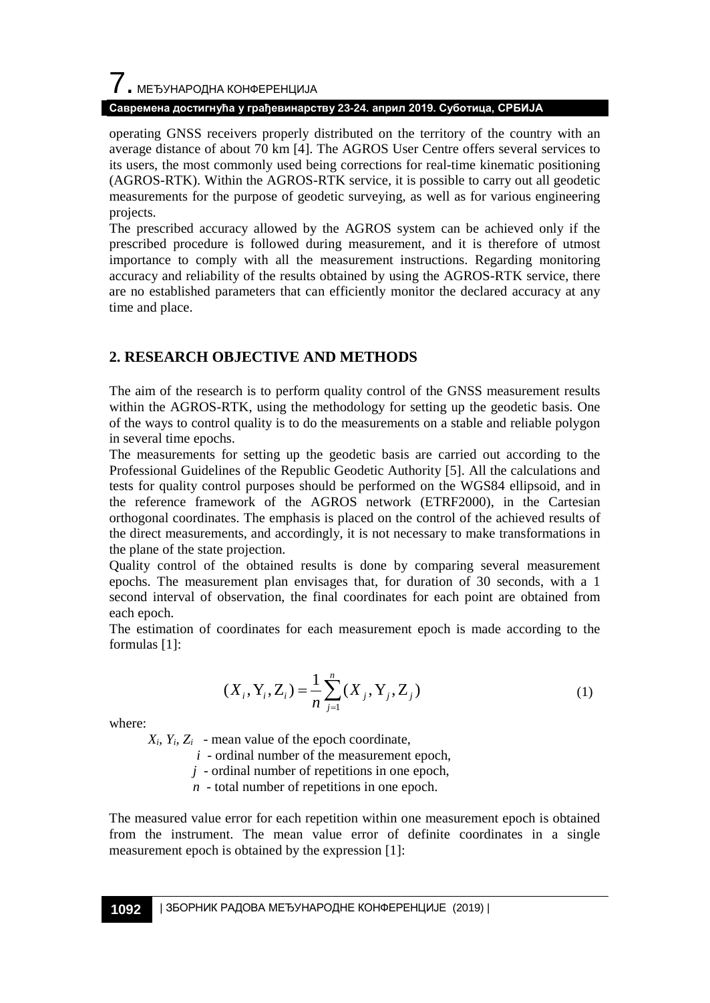#### **Савремена достигнућа у грађевинарству 23-24. април 2019. Суботица, СРБИЈА**

operating GNSS receivers properly distributed on the territory of the country with an average distance of about 70 km [4]. The AGROS User Centre offers several services to its users, the most commonly used being corrections for real-time kinematic positioning (AGROS-RTK). Within the AGROS-RTK service, it is possible to carry out all geodetic measurements for the purpose of geodetic surveying, as well as for various engineering projects.

The prescribed accuracy allowed by the AGROS system can be achieved only if the prescribed procedure is followed during measurement, and it is therefore of utmost importance to comply with all the measurement instructions. Regarding monitoring accuracy and reliability of the results obtained by using the AGROS-RTK service, there are no established parameters that can efficiently monitor the declared accuracy at any time and place.

#### **2. RESEARCH OBJECTIVE AND METHODS**

The aim of the research is to perform quality control of the GNSS measurement results within the AGROS-RTK, using the methodology for setting up the geodetic basis. One of the ways to control quality is to do the measurements on a stable and reliable polygon in several time epochs.

The measurements for setting up the geodetic basis are carried out according to the Professional Guidelines of the Republic Geodetic Authority [5]. All the calculations and tests for quality control purposes should be performed on the WGS84 ellipsoid, and in the reference framework of the AGROS network (ETRF2000), in the Cartesian orthogonal coordinates. The emphasis is placed on the control of the achieved results of the direct measurements, and accordingly, it is not necessary to make transformations in the plane of the state projection.

Quality control of the obtained results is done by comparing several measurement epochs. The measurement plan envisages that, for duration of 30 seconds, with a 1 second interval of observation, the final coordinates for each point are obtained from each epoch.

The estimation of coordinates for each measurement epoch is made according to the formulas [1]:

$$
(X_i, Y_i, Z_i) = \frac{1}{n} \sum_{j=1}^n (X_j, Y_j, Z_j)
$$
 (1)

where:

 $X_i$ ,  $Y_i$ ,  $Z_i$  - mean value of the epoch coordinate,

 $i$  - ordinal number of the measurement epoch,

*j* - ordinal number of repetitions in one epoch,

*n* - total number of repetitions in one epoch.

The measured value error for each repetition within one measurement epoch is obtained from the instrument. The mean value error of definite coordinates in a single measurement epoch is obtained by the expression [1]: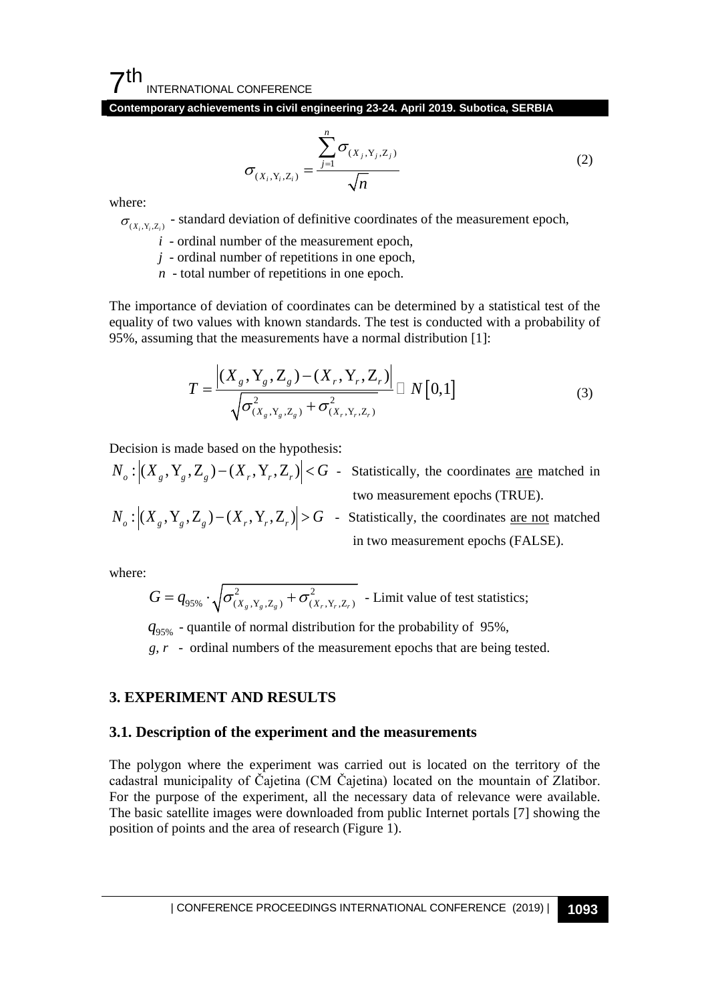$7<sup>th</sup>$ INTERNATIONAL CONFERENCE

**Contemporary achievements in civil engineering 23-24. April 2019. Subotica, SERBIA**

$$
\sigma_{(X_i, Y_i, Z_i)} = \frac{\sum_{j=1}^{n} \sigma_{(X_j, Y_j, Z_j)}}{\sqrt{n}}
$$
\n(2)

where:

 $\sigma_{(X_i, Y_i, Z_i)}$  - standard deviation of definitive coordinates of the measurement epoch,

*i* - ordinal number of the measurement epoch,

*j* - ordinal number of repetitions in one epoch,

*n* - total number of repetitions in one epoch.

The importance of deviation of coordinates can be determined by a statistical test of the equality of two values with known standards. The test is conducted with a probability of 95%, assuming that the measurements have a normal distribution [1]:

$$
T = \frac{\left| (X_s, Y_s, Z_s) - (X_r, Y_r, Z_r) \right|}{\sqrt{\sigma_{(X_s, Y_s, Z_s)}^2 + \sigma_{(X_r, Y_r, Z_r)}^2}} \square N[0,1] \tag{3}
$$

Decision is made based on the hypothesis:

$$
N_o: \left| (X_g, Y_g, Z_g) - (X_r, Y_r, Z_r) \right| < G
$$
 - Statistically, the coordinates are matched in two measurement epochs (TRUE).

$$
N_o: |(X_g, Y_g, Z_g) - (X_r, Y_r, Z_r)| > G
$$
 - Statistically, the coordinates are not matched in two measurement epochs (FALSE).

where:

$$
G = q_{95\%} \cdot \sqrt{\sigma_{(X_g, Y_g, Z_g)}^2 + \sigma_{(X_r, Y_r, Z_r)}^2}
$$
 - Limit value of test statistics;

95% *q* - quantile of normal distribution for the probability of 95%,

 *g, r* - ordinal numbers of the measurement epochs that are being tested.

#### **3. EXPERIMENT AND RESULTS**

#### **3.1. Description of the experiment and the measurements**

The polygon where the experiment was carried out is located on the territory of the cadastral municipality of Čajetina (CM Čajetina) located on the mountain of Zlatibor. For the purpose of the experiment, all the necessary data of relevance were available. The basic satellite images were downloaded from public Internet portals [7] showing the position of points and the area of research (Figure 1).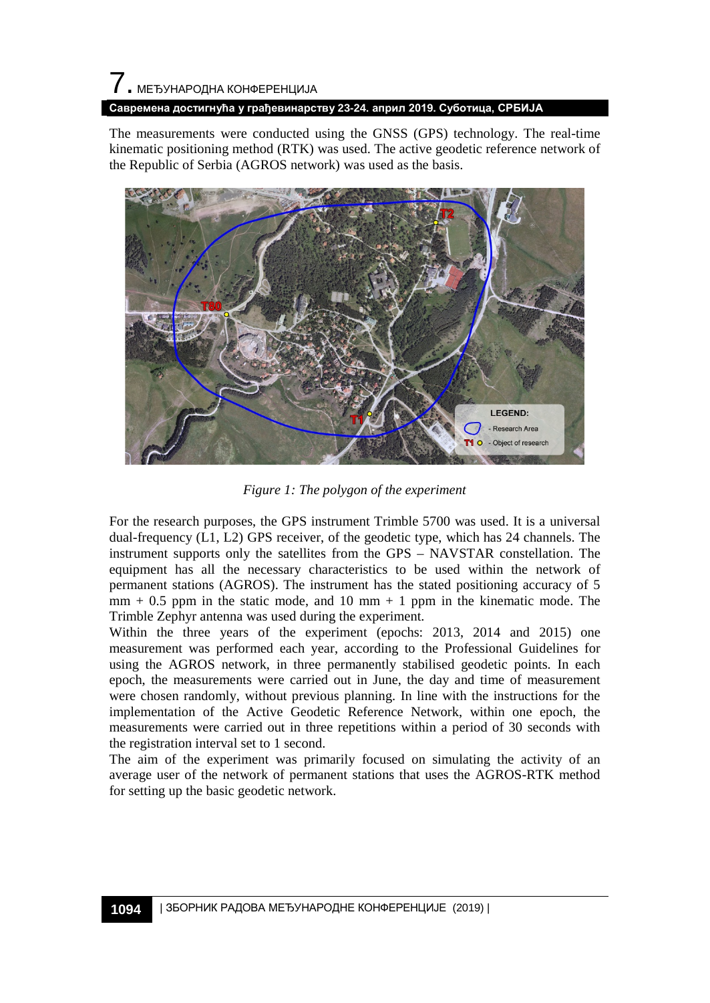# 7. МЕЂУНАРОДНА КОНФЕРЕНЦИЈА

#### **Савремена достигнућа у грађевинарству 23-24. април 2019. Суботица, СРБИЈА**

The measurements were conducted using the GNSS (GPS) technology. The real-time kinematic positioning method (RTK) was used. The active geodetic reference network of the Republic of Serbia (AGROS network) was used as the basis.



*Figure 1: The polygon of the experiment* 

For the research purposes, the GPS instrument Trimble 5700 was used. It is a universal dual-frequency (L1, L2) GPS receiver, of the geodetic type, which has 24 channels. The instrument supports only the satellites from the GPS – NAVSTAR constellation. The equipment has all the necessary characteristics to be used within the network of permanent stations (AGROS). The instrument has the stated positioning accuracy of 5  $mm + 0.5$  ppm in the static mode, and 10 mm + 1 ppm in the kinematic mode. The Trimble Zephyr antenna was used during the experiment.

Within the three years of the experiment (epochs: 2013, 2014 and 2015) one measurement was performed each year, according to the Professional Guidelines for using the AGROS network, in three permanently stabilised geodetic points. In each epoch, the measurements were carried out in June, the day and time of measurement were chosen randomly, without previous planning. In line with the instructions for the implementation of the Active Geodetic Reference Network, within one epoch, the measurements were carried out in three repetitions within a period of 30 seconds with the registration interval set to 1 second.

The aim of the experiment was primarily focused on simulating the activity of an average user of the network of permanent stations that uses the AGROS-RTK method for setting up the basic geodetic network.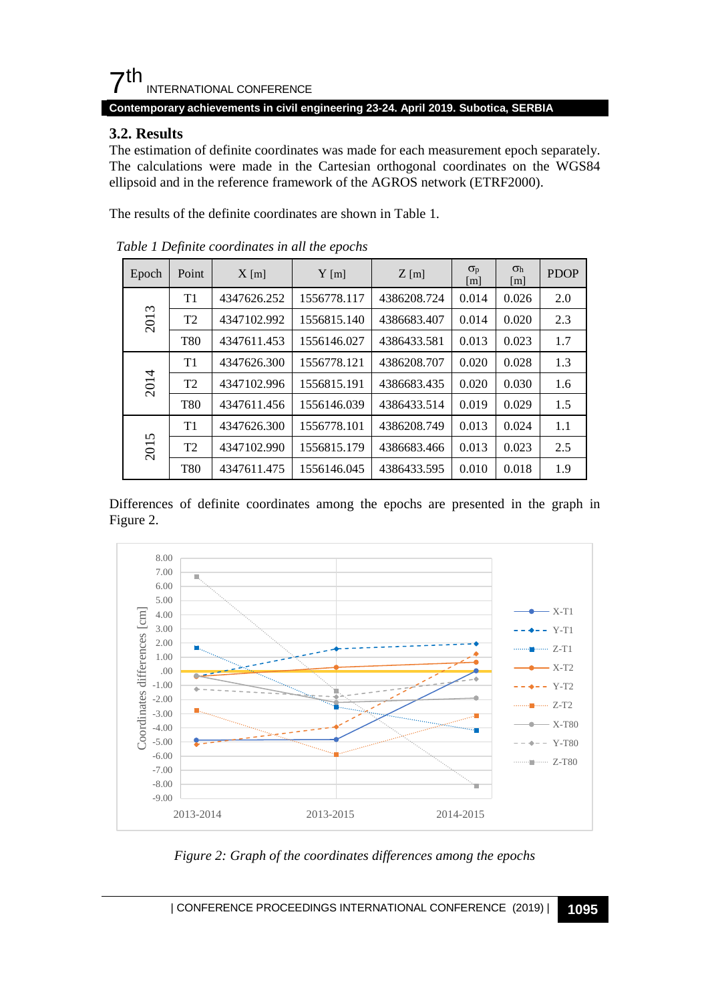# $\mathsf{\Sigma}$ th INTERNATIONAL CONFERENCE

#### **Contemporary achievements in civil engineering 23-24. April 2019. Subotica, SERBIA**

#### **3.2. Results**

The estimation of definite coordinates was made for each measurement epoch separately. The calculations were made in the Cartesian orthogonal coordinates on the WGS84 ellipsoid and in the reference framework of the AGROS network (ETRF2000).

The results of the definite coordinates are shown in Table 1.

| Epoch | Point          | $X$ [m]     | $Y$ [m]     | $Z$ [m]     | $\sigma_{p}$<br>$\lceil m \rceil$ | $\sigma_{h}$<br>$\lceil m \rceil$ | <b>PDOP</b> |
|-------|----------------|-------------|-------------|-------------|-----------------------------------|-----------------------------------|-------------|
| 2013  | T1             | 4347626.252 | 1556778.117 | 4386208.724 | 0.014                             | 0.026                             | 2.0         |
|       | T <sub>2</sub> | 4347102.992 | 1556815.140 | 4386683.407 | 0.014                             | 0.020                             | 2.3         |
|       | <b>T80</b>     | 4347611.453 | 1556146.027 | 4386433.581 | 0.013                             | 0.023                             | 1.7         |
| 2014  | T1             | 4347626.300 | 1556778.121 | 4386208.707 | 0.020                             | 0.028                             | 1.3         |
|       | T <sub>2</sub> | 4347102.996 | 1556815.191 | 4386683.435 | 0.020                             | 0.030                             | 1.6         |
|       | <b>T80</b>     | 4347611.456 | 1556146.039 | 4386433.514 | 0.019                             | 0.029                             | 1.5         |
| 2015  | T1             | 4347626.300 | 1556778.101 | 4386208.749 | 0.013                             | 0.024                             | 1.1         |
|       | T <sub>2</sub> | 4347102.990 | 1556815.179 | 4386683.466 | 0.013                             | 0.023                             | 2.5         |
|       | <b>T80</b>     | 4347611.475 | 1556146.045 | 4386433.595 | 0.010                             | 0.018                             | 1.9         |

*Table 1 Definite coordinates in all the epochs* 

Differences of definite coordinates among the epochs are presented in the graph in Figure 2.



*Figure 2: Graph of the coordinates differences among the epochs*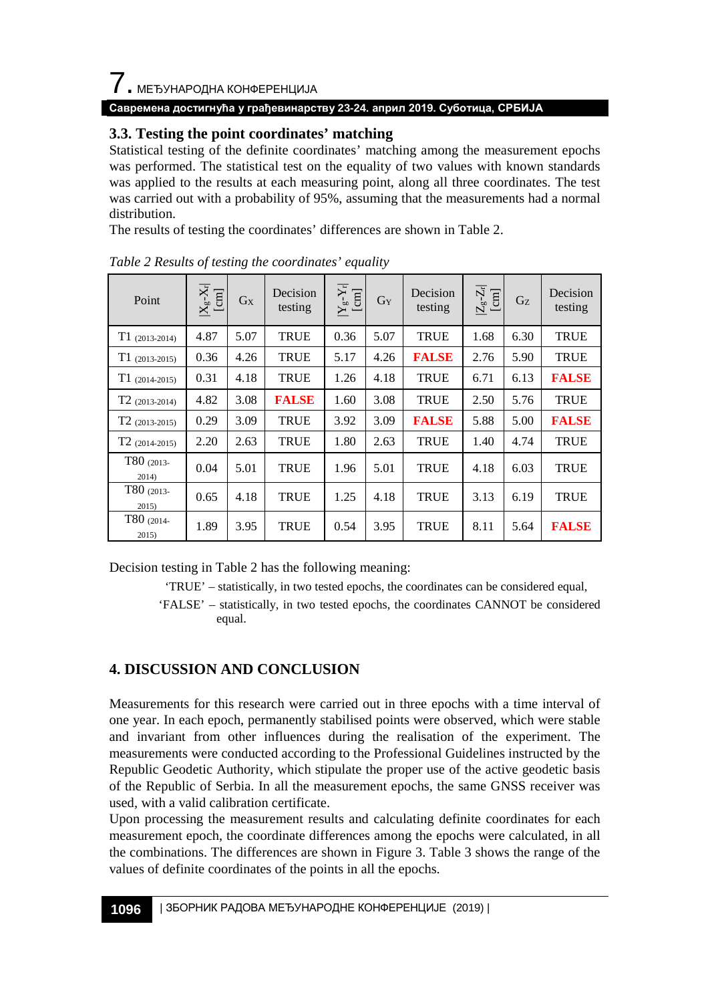# $\overline{\phantom{a}}$ . МЕЂУНАРОДНА КОНФЕРЕНЦИЈА

#### **Савремена достигнућа у грађевинарству 23-24. април 2019. Суботица, СРБИЈА**

### **3.3. Testing the point coordinates' matching**

Statistical testing of the definite coordinates' matching among the measurement epochs was performed. The statistical test on the equality of two values with known standards was applied to the results at each measuring point, along all three coordinates. The test was carried out with a probability of 95%, assuming that the measurements had a normal distribution.

The results of testing the coordinates' differences are shown in Table 2.

| Point               | $\frac{ X_g-X_r }{[cm]}$ | $G_X$ | Decision<br>testing | $\frac{ Y_g\text{-}Y_r }{[cm]}$ | GY   | Decision<br>testing | $ Z_g-Z_r $<br>[cm] | G <sub>Z</sub> | Decision<br>testing |
|---------------------|--------------------------|-------|---------------------|---------------------------------|------|---------------------|---------------------|----------------|---------------------|
| $T1(2013-2014)$     | 4.87                     | 5.07  | <b>TRUE</b>         | 0.36                            | 5.07 | <b>TRUE</b>         | 1.68                | 6.30           | <b>TRUE</b>         |
| $T1(2013-2015)$     | 0.36                     | 4.26  | <b>TRUE</b>         | 5.17                            | 4.26 | <b>FALSE</b>        | 2.76                | 5.90           | <b>TRUE</b>         |
| $T1(2014-2015)$     | 0.31                     | 4.18  | <b>TRUE</b>         | 1.26                            | 4.18 | <b>TRUE</b>         | 6.71                | 6.13           | <b>FALSE</b>        |
| $T2$ (2013-2014)    | 4.82                     | 3.08  | <b>FALSE</b>        | 1.60                            | 3.08 | <b>TRUE</b>         | 2.50                | 5.76           | <b>TRUE</b>         |
| $T2$ (2013-2015)    | 0.29                     | 3.09  | <b>TRUE</b>         | 3.92                            | 3.09 | <b>FALSE</b>        | 5.88                | 5.00           | <b>FALSE</b>        |
| $T2$ (2014-2015)    | 2.20                     | 2.63  | <b>TRUE</b>         | 1.80                            | 2.63 | <b>TRUE</b>         | 1.40                | 4.74           | <b>TRUE</b>         |
| T80 (2013-<br>2014) | 0.04                     | 5.01  | <b>TRUE</b>         | 1.96                            | 5.01 | <b>TRUE</b>         | 4.18                | 6.03           | <b>TRUE</b>         |
| T80 (2013-<br>2015  | 0.65                     | 4.18  | <b>TRUE</b>         | 1.25                            | 4.18 | <b>TRUE</b>         | 3.13                | 6.19           | <b>TRUE</b>         |
| T80 (2014-<br>2015  | 1.89                     | 3.95  | <b>TRUE</b>         | 0.54                            | 3.95 | <b>TRUE</b>         | 8.11                | 5.64           | <b>FALSE</b>        |

*Table 2 Results of testing the coordinates' equality* 

Decision testing in Table 2 has the following meaning:

'TRUE' – statistically, in two tested epochs, the coordinates can be considered equal,

## **4. DISCUSSION AND CONCLUSION**

Measurements for this research were carried out in three epochs with a time interval of one year. In each epoch, permanently stabilised points were observed, which were stable and invariant from other influences during the realisation of the experiment. The measurements were conducted according to the Professional Guidelines instructed by the Republic Geodetic Authority, which stipulate the proper use of the active geodetic basis of the Republic of Serbia. In all the measurement epochs, the same GNSS receiver was used, with a valid calibration certificate.

Upon processing the measurement results and calculating definite coordinates for each measurement epoch, the coordinate differences among the epochs were calculated, in all the combinations. The differences are shown in Figure 3. Table 3 shows the range of the values of definite coordinates of the points in all the epochs.

<sup>&#</sup>x27;FALSE' – statistically, in two tested epochs, the coordinates CANNOT be considered equal.